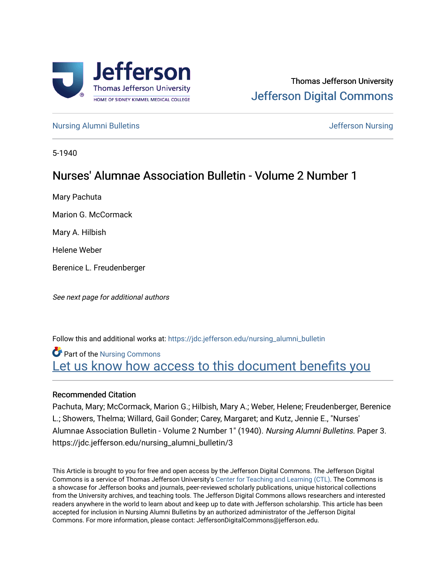

# Thomas Jefferson University [Jefferson Digital Commons](https://jdc.jefferson.edu/)

[Nursing Alumni Bulletins](https://jdc.jefferson.edu/nursing_alumni_bulletin) **Jefferson Nursing** 

5-1940

# Nurses' Alumnae Association Bulletin - Volume 2 Number 1

Mary Pachuta

Marion G. McCormack

Mary A. Hilbish

Helene Weber

Berenice L. Freudenberger

See next page for additional authors

Follow this and additional works at: [https://jdc.jefferson.edu/nursing\\_alumni\\_bulletin](https://jdc.jefferson.edu/nursing_alumni_bulletin?utm_source=jdc.jefferson.edu%2Fnursing_alumni_bulletin%2F3&utm_medium=PDF&utm_campaign=PDFCoverPages) 

Part of the [Nursing Commons](http://network.bepress.com/hgg/discipline/718?utm_source=jdc.jefferson.edu%2Fnursing_alumni_bulletin%2F3&utm_medium=PDF&utm_campaign=PDFCoverPages)  Let us know how access to this document benefits you

# Recommended Citation

Pachuta, Mary; McCormack, Marion G.; Hilbish, Mary A.; Weber, Helene; Freudenberger, Berenice L.; Showers, Thelma; Willard, Gail Gonder; Carey, Margaret; and Kutz, Jennie E., "Nurses' Alumnae Association Bulletin - Volume 2 Number 1" (1940). Nursing Alumni Bulletins. Paper 3. https://jdc.jefferson.edu/nursing\_alumni\_bulletin/3

This Article is brought to you for free and open access by the Jefferson Digital Commons. The Jefferson Digital Commons is a service of Thomas Jefferson University's [Center for Teaching and Learning \(CTL\)](http://www.jefferson.edu/university/teaching-learning.html/). The Commons is a showcase for Jefferson books and journals, peer-reviewed scholarly publications, unique historical collections from the University archives, and teaching tools. The Jefferson Digital Commons allows researchers and interested readers anywhere in the world to learn about and keep up to date with Jefferson scholarship. This article has been accepted for inclusion in Nursing Alumni Bulletins by an authorized administrator of the Jefferson Digital Commons. For more information, please contact: JeffersonDigitalCommons@jefferson.edu.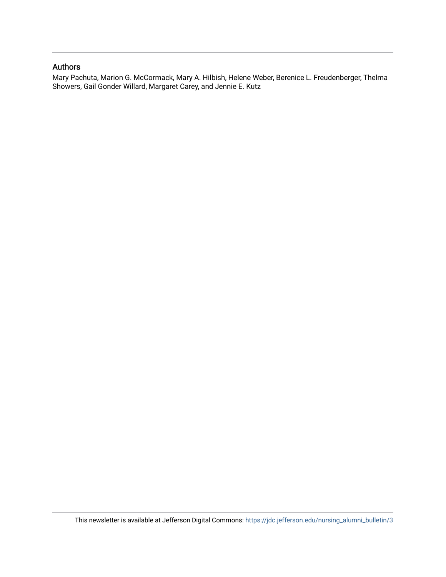# Authors

Mary Pachuta, Marion G. McCormack, Mary A. Hilbish, Helene Weber, Berenice L. Freudenberger, Thelma Showers, Gail Gonder Willard, Margaret Carey, and Jennie E. Kutz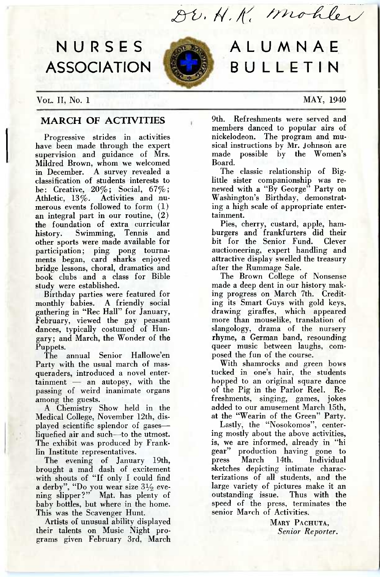DU. H. K. Mohler

# **NURSES ASSOCIATION**



# **ALUMNAE BULLETIN**

Vol,. II, No. 1 MAY, 1940

# **MARCH OF ACTIVITIES**

Progressive strides in activities have been made through the expert supervision and guidance of Mrs. Mildred Brown, whom we welcomed in December. A survey revealed a classification of students interests to be: Creative,  $20\%$ ; Social,  $67\%$ ; Athletic, 13%. Activities and numerous events followed to form (1) an integral part in our routine, (2) the foundation of extra curricular<br>history. Swimming, Tennis and Swimming, Tennis and other sports were made available for participation; ping pong tournaments began, card sharks enjoyed bridge lessons, choral, dramatics and book clubs and a class for Bible study were established.

Birthday parties were featured for monthly babies. A friendly social gathering in "Rec Hall" for January, February, viewed the gay peasant dances, typically costumed of Hungary; and March, the Wonder of the Puppets.

The annual Senior Hallowe'en Party with the usual march of masqueraders, introduced a novel entertainment — an autopsy, with the passing of weird inanimate organs among the guests.

A Chemistry Show held in the Medical College, November 12th, displayed scientific splendor of gases liquefied air and such—to the utmost. The exhibit was produced by Franklin Institute representatives.

The evening of January 19th, brought a mad dash of excitement with shouts of "If only I could find a derby", "Do you wear size  $3\frac{1}{2}$  evening slipper?" Mat. has plenty of baby bottles, but where in the home. This was the Scavenger Hunt.

Artists of unusual ability displayed their talents on Music Night programs given February 3rd, March 9th. Refreshments were served and members danced to popular airs of nickelodeon. The program and musical instructions by Mr. Johnson are<br>made possible by the Women's possible by the Women's Board.

The classic relationship of Biglittle sister companionship was renewed with a "By George" Party on Washington's Birthday, demonstrating a high scale of appropriate entertainment.

Pies, cherry, custard, apple, hamburgers and frankfurters did their bit for the Senior Fund. Clever auctioneering, expert handling and attractive display swelled the treasury after the Rummage Sale.

The Brown College of Nonsense made a deep dent in our history making progress on March 7th. Crediting its Smart Guys with gold keys, drawing giraffes, which appeared more than mouselike. translation of slangology, drama of the nursery rhyme, a German band, resounding queer music between laughs, composed the fun of the course.

With shamrocks and green bows tucked in one's hair, the students hopped to an original square dance of the Pig in the Parlor Reel. Refreshments, singing, games, jokes added to our amusement March 15th, at the "Wearin of the Green" Party.

Lastly, the "Nosokomos", centering mostly about the above activities, is, we are informed, already in "hi gear" production having gone to press March 14th. Individual sketches depicting intimate characterizations of all students, and the large variety of pictures make it an outstanding issue. Thus with the speed of the press, terminates the senior March of Activities.

> MARY PACHUTA, *Senior Reporter.*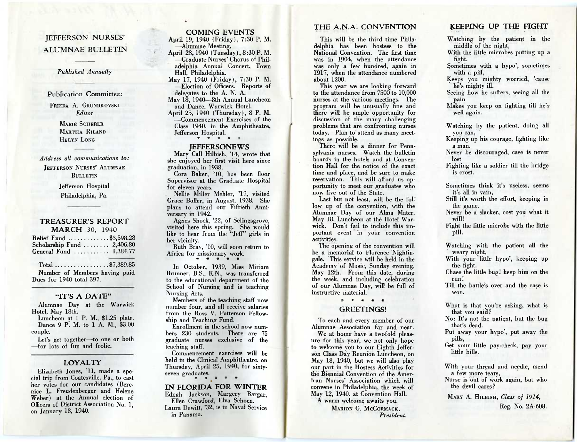# JEFFERSON NURSES' ALUMNAE BULLETIN

## *Published Annually*

#### Publication Committee:

FRIEDA A. GRUNDKOVSKI *Editor* 

> MARIE SCHERER MARTHA BILAND HELYN LONG

*Address all communications to:*  JEFFERSON NURSES' ALUMNAE BULLETIN

# Jefferson Hospital Philadelphia, Pa.

#### **TREASURER'S REPORT MARCH** 30, 1940

| Relief Fund \$3,598.28                    |  |
|-------------------------------------------|--|
| Scholarship Fund $\ldots \ldots 2,406.80$ |  |
| General Fund $\ldots$ 1,384.77            |  |

# Total  $\dots \dots \dots \dots \$  7,389.85

Number of Members having paid Dues for 1940 total 397.

#### **"IT'S A DATE"**

Alumnae Day at the Warwick Hotel, May 18th.

Luncheon at 1 P. M., \$1.25 plate. Dance 9 P. M. to 1 A. M., \$3.00 couple.

Let's get together—to one or both —for lots of fun and frolic.

# **LOYALTY**

Elizabeth Jones, '11, made a special trip from Coatesville, Pa., to cast her votes for our candidates (Berenice L. Freudenberger and Helene Weber) at the Annual election of Officers of District Association No. 1, on January 18, 1940.

# **COMING EVENTS**

April 19, 1940 (Friday), 7:30 P. M. —Alumnae Meeting.

April 23, 1940 (Tuesday), 8:30 P. M. —Graduate Nurses' Chorus of Philadelphia Annual Concert, Town Hall, Philadelphia. May 17, 1940 (Friday), 7:30 P. M. —Election of Officers. Reports of delegates to the A. N. A. May 18, 1940-8th Annual Luncheon and Dance, Warwick Hotel. April 25, 1940 (Thursday), 8 P. M. —Commencement Exercises of the

Class 1940, in the Amphitheatre, Jefferson Hospital.

#### **JEFFERSONEWS**

Mary Call Hilbish, '14, wrote that she enjoyed her first visit here since graduation, in 1938.

Cora Baker, '10, has been floor Supervisor at the Gradaate Hospital for eleven years.

Nellie Miller Mehler, '17, visited Grace Boller, in August, 1938. She plans to attend our Fiftieth Anniversary in 1942.

Agnes Shock, '22, of Selingsgrove, visited here this spring. She would like to hear from the "Jeff" girls in her vicinity.

Ruth Bray, '10, will soon return to Africa for missionary work.

In October, 1939, Miss Miriam Brunner, B.S., R.N., was transferred to the educational department of the School of Nursing and is teaching Nursing Arts.

Members of the teaching staff now number four, and all receive salaries from the Ross V. Patterson Fellow. ship and Teaching Fund.

Enrollment in the school now numbers 230 students. There are 75 graduate nurses exclusive of the teaching staff.

Commencement exercises will be held in the Clinical Amphitheatre, on Thursday, April 25, 1940, for sixtyseven graduates.

**IN FLORIDA FOR WINTER**  Ednah Jackson, Margery Bargar,

Ellen Crawford, Elva Schoen. Laura Dewitt, '32, is in Naval Service in Panama.

# THE A.N.A. CONVENTION

This will be the third time Philadelphia has been hostess to the National Convention. The first time was in 1904, when the attendance was only a few hundred, again in 1917, when the attendance numbered about 1200.

This year we are looking forward to the attendance from 7500 to 10,000 nurses at the various meetings. The program will be unusually fine and there will be ample opportunity for discussion of the many challenging problems that are confronting nurses today. Plan to attend as many meetings as possible.

There will be a dinner for Pennsylvania nurses. Watch the bulletin hoards in the hotels and at Convention Hall for the notice of the exact time and place, and be sure to make reservation. This will afford us opportunity to meet our graduates who now live out of the State.

Last but not least, will be the follow up of the convention, with the Alumnae Day of our Alma Mater. May 18, Luncheon at the Hotel Warwick. Don't fail to include this important event in your convention activities.

The opening of the convention will be a memorial to Florence Nightingale. This service will be held in the Academy of Music, Sunday evening, May 12th. From this date, during the week, and including celebration of our Alumnae Day, will be full of instructive material.

# \* \* \* \* \*

## GREETINGS!

To each and every member of our Alumnae Association far and near.

We at home have a twofold pleasure for this year, we not only hope to welcome you to our Eighth Jefferson Class Day Reunion Luncheon, on May 18, 1940, but we will also play our part in the Hostess Activities for the Biennial Convention of the American Nurses' Association which will convene in Philadelphia, the week of May 12, 1940, at Convention Hall.

A warm welcome awaits you.

MARION G. MCCORMACK, *President.* 

# **KEEPING UP THE FIGHT**

Watching by the patient in the middle of the night,

With the little microbes putting up a fight.

Sometimes with a hypo', sometimes with a pill,

Keeps you mighty worried, 'cause he's mighty ill.

Seeing how he suffers, seeing all the pain

Makes you keep on fighting till he's well again.

Watching by the patient, doing all you can,

Keeping' up his courage, fighting like a man.

Never be discouraged, case is never lost

Fighting like a soldier till the bridge is crost.

Sometimes think it's useless, seems it's all in vain,

Still it's worth the effort, keeping in the game.

Never be a slacker, cost you what it will!

Fight the little microbe with the little pill.

Watching with the patient all the weary night,

With your little hypo', keeping up the fight.

Chase the little bug! keep him on the run!

Till the battle's over and the case is won.

What is that you're asking, what is that you said?

No: It's not the patient, but the bug that's dead.

Put away your hypo', put away the pills,

Get your little pay-check, pay your little bills.

With your thread and needle, mend a few more tears,

Nurse is out of work again, but who the devil cares?

MARY A. HILBISH, *Class of 1914,* 

Reg. No. 2A-608.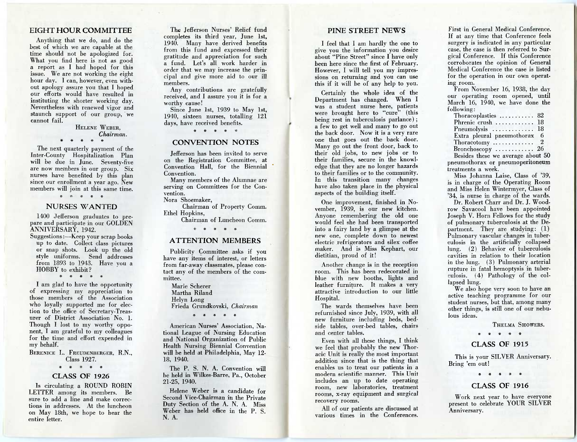# EIGHT HOUR COMMITTEE

Anything that we do, and do the best of which we are capable at the time should not be apologized for. What you find here is not as good a report as I had hoped for this issue. We are not working the eight hour day. I can, however, even without apology assure you that I hoped our efforts would have resulted in instituting the shorter working day. Nevertheless with renewed vigor and staunch support of our group, we cannot fail.

#### HELENE WEBER, *Chairman.*

\* \* \* \* \*

The next quarterly payment of the Inter-County Hospitalization Plan will be due in June. Seventy-five are now members in our group. Six nurses have benefited by this plan since our enrollment a year ago. New members will join at this same time.<br> $* * * * * *$ 

# NURSES WANTED

1400 Jefferson graduates to prepare and participate in our GOLDEN ANNIVERSARY, 1942.

Suggestions :—Keep your scrap books up to date. Collect class pictures or snap shots. Look up the old style uniforms. Send addresses from 1893 to 1943. Have you a HOBBY to exhibit? \* \* \* \* \*

I am glad to have the opportunity of expressing my appreciation to those members of the Association who loyally supported me for election to the office of Secretary-Treasurer of District Association No. 1. Though I lost to my worthy opponent, I am grateful to my colleagues for the time and effort expended in my behalf.

BERENICE L. FREUDENBERGER, R.N., Class 1927.

#### \* \* \* \* \*

#### CLASS OF 1926

Is circulating, a ROUND ROBIN LETTER among its members. Be sure to add a line and make corrections in addresses. At the luncheon on May 18th, we hope to hear the entire letter.

The Jefferson Nurses' Relief fund completes its third year, June 1st, 1940. Many have derived benefits from this fund and expressed their gratitude and appreciation for such a fund. Let's all work harder in order that we may increase the principal and give more aid to our ill members.

Any contributions are gratefully received, and I assure you it is for a, worthy cause!

7

i

Since June 1st, 1939 to May 1st, 1940, sixteen nurses, totalling 121 days, have received benefits.

\* \* \* \* \*

# CONVENTION NOTES

Jefferson has been invited to serve on the Registration Committee, at Convention Hall, for the Biennial Convention.

Many members of the Alumnae are serving on Committees for the Convention.

Nora Shoemaker,

Chairman of Property Comm. Ethel Hopkins,

Chairman of Luncheon Comm.

\* \* \* \* \*

#### ATTENTION MEMBERS

Publicity Committee asks if you have any items of interest, or letters from far-away classmates, please contact any of the members of the committee.

Marie Scherer Martha Riland Helyn Long Frieda Grundkovski, *Chairman* 

\* \* \* \* \*

American Nurses' Association, National League of Nursing Education and National Organization of Public Health Nursing Biennial Convention will be held at Philadelphia, May 12- 18, 1940.

The P. S. N. A. Convention will be held in Wilkes-Barre, Pa., October 21-25, 1940.

Helene Weber is a candidate for Second Vice-Chairman in the Private Duty Section of the A. N. A. Miss Weber has held office in the P. S. N. A.

# PINE STREET NEWS

I feel that I am hardly the one to give you the information you desire about "Pine Street" since I have only been here since the first of February. However, I will tell you my impressions on returning and you can use this if it will be of any help to you.

Certainly the whole idea of the Department has changed. When I was a student nurse here, patients were brought here to "cure" (this being rest in tuberculosis parlance) ; a few to get well and many to go out the back door. Now it is a very rare one that goes out the back door. Many go out the front door, back to their old jobs, to new jobs or to their families, secure in the knowledge that they are no longer hazards to their families or to the community. In this transition many changes have also taken place in the physical aspects of the building itself.

One improvement, finished in November, 1939, is our new kitchen. Anyone remembering the old one would feel she had been transported into a fairy land by a glimpse at the new one, complete down to newest electric refrigerators and silex coffee maker. And is Miss Kephart, our dietitian, proud of it!

Another change is in the reception room. This has been redecorated in blue with new booths, lights and leather furniture. It makes a very attractive introduction to our little Hospital.

The wards themselves have been refurnished since July, 1939, with all new furniture including beds, bedside tables, over-bed tables, chairs and center tables.

Even with all these things, I think we feel that probably the new Thoracic Unit is really the most important addition since that is the thing that enables us to treat our patients in a modern scientific manner. This Unit includes an up to date operating room, new laboratories, treatment rooms, x-ray equipment and surgical recovery rooms.

All of our patients are discussed at various times in the Conferences.

First in General Medical Conference. If at any time that Conference feels surgery is indicated in any particular case, the case is then referred to Surgical Conference. If this Conference corroborates the opinion of General Medical Conference the case is listed for the operation in our own operating room.

From November 16, 1938, the day our operating room opened, until March 16, 1940, we have done the following:

| Thoracoplasties  82                    |  |  |
|----------------------------------------|--|--|
| Phrenic crush  18                      |  |  |
| Pneumolysis  18                        |  |  |
| Extra pleural pneumothorax 6           |  |  |
| Thoracotomy $\ldots \ldots \ldots 2$   |  |  |
| $Bronchoscopy \ldots \ldots \ldots 26$ |  |  |
| Besides these we average about 50      |  |  |
| pneumothorax or pneumoperitoneum       |  |  |
| treatments a week.                     |  |  |

Miss Johanna Laise, Class of '39, is in charge of the Operating Room and Miss Helen Wintermyer, Class of '34, is nurse in charge of the wards.

Dr. Robert Charr and Dr. J. Woodrow Savacool have been appointed Joseph V. Horn Fellows for the study of pulmonary tuberculosis at the Department. They are studying: (1) Pulmonary vascular changes in tuberculosis in the artificially collapsed lung. (2) Behavior of tuberculosis cavities in relation to their location in the lung. (3) Pulmonary arterial rupture in fatal hemoptysis in tuberculosis. (4) Pathology of the collapsed lung.

We also hope very soon to have an active teaching programme for our student nurses, but that, among many other things, is still one of our nebulous ideas.

THELMA SHOWERS.

# \* \* \* \* \*

# CLASS OF 1915

This is your SILVER Anniversary. Bring 'em out!

\* \* \* \* \*

#### CLASS OF 1916

Work next year to have everyone present to celebrate YOUR SILVER Anniversary.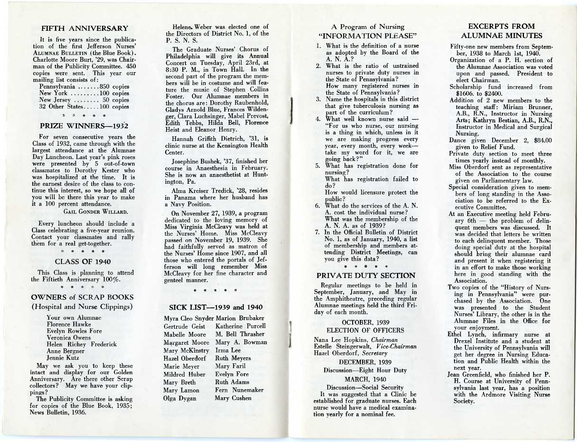# FIFTH ANNIVERSARY

It is five years since the publication of the first Jefferson Nurses' ALUMNAE BULLETIN (the Blue Book). Charlotte Moore Burt, '29, was Chairman of the Publicity Committee. 450 copies were sent. This year our mailing list consists of:

Pennsylvania .......850 copies New York .........100 copies New Jersey  $\dots \dots$  50 copies 32 Other States.....100 copies

\* \* \* \*

# PRIZE WINNERS-1932

For seven consecutive years the Class of 1932, came through with the largest attendance at the Alumnae Day Luncheon. Last year's pink roses were presented by 5 out-of-town classmates to Dorothy Kester who was hospitalized at the time. It is the earnest desire of the class to continue this interest, so we hope all of you will be there this year to make it a 100 percent attendance.

GAIL GONDER WILLARD.

Every luncheon should include a Class celebrating a five-year reunion. Contact your classmates and rally them for a real get-together.

\* \* \* \*

# CLASS OF 1940

This Class is planning to attend the Fiftieth Anniversary 100%.

\* \* \* \*

# OWNERS of SCRAP BOOKS (Hospital and Nurse Clippings)

Your own Alumnae Florence Hawke Evelyn Rowles Fore Veronica Owens Helen Richey Frederick Anne Bergner Jennie Kutz

May we ask you to keep these intact and display for our Golden Anniversary. Are there other Scrap collectors? May we have your clippings?

The Publicity Committee is asking for copies of the Blue Book, 1935; News Bulletin, 1936.

Helene.. Weber was elected one of the Directors of District No. 1, of the P. S. N. S.

The Graduate Nurses' Chorus of Philadelphia will give its Annual Concert on Tuesday, April 23rd, at 8:30 P. M., in Town Hall. In the second part of the program the members will be in costume and will feature the music of Stephen Collins Foster. Our Alumnae members in the chorus are: Dorothy Raubenhold, Gladys Arnold Blue, Frances Wildenger, Clara Luchsinger, Mabel Prevost, Edith Tebbs, Hilda Bell, Florence Heist and Eleanor Henry.

Hannah Griffith Dietrich, '31, is clinic nurse at the Kensington Health Center.

Josephine Bushek, '37, finished her course in Anaesthesia in February. She is now an anaesthetist at Huntington, Pa.

Alma Kreiser Tredick, '28, resides in Panama where her husband has a Navy Position.

On November 27, 1939, a program dedicated to the loving memory of Miss Virginia McCleavy was held at the Nurses' Home. Miss McCleavy passed on November 19, 1939. She had faithfully served as matron of the Nurses' Home since 1907, and all those who entered the portals of Jefferson will long remember Miss McCleavy for her fine character and genteel manner.

 $*$  \*

#### SICK LIST-1939 **and** 1940

Myra Cleo Snyder Marion Brubaker Gertrude Geist Katherine Purcell Mabelle Moore M. Bell Thrasher Margaret Moore Mary A. Bowman Mary McKinstry Irma Lee Hazel Oberdorf Ruth Meyers Marie Meyer Mary Faril Mildred Huber Evelyn Fore Mary Breth Ruth Adams Mary Lamon Fern Nunemaker Olga Dygan Mary Cushen

# A Program of Nursing "INFORMATION PLEASE"

- 1. What is the definition of a nurse as adopted by the Board of the A. N. A.?
- 2. What is the ratio of untrained nurses to private duty nurses in the State of Pennsylvania? How many registered nurses in the State of Pennsylvania?
- 3. Name the hospitals in this district that give tuberculosis nursing as part of the curriculum?
- 4. What well known nurse said  $-$ "For us who nurse, our nursing is a thing in which, unless in it we are making progress every year, every month, every week take my word for it, we are going back?"
- 5. What has registration done for nursing? What has registration failed to

do? How would licensure protect the

public?

- 6. What do the services of the A. N. A. cost the individual nurse? What was the membership of the A. N. A. as of 1939?
- 7. In the Official Bulletin of District No. 1, as of January, 1940, a list of membership and members attending District Meetings, can you give this data?

\* \* \* \* \*

# PRIVATE DUTY SECTION

Regular meetings to be held in September, January, and May in the Amphitheatre, preceding regular Alumnae meetings held the third Friday of each month.

#### OCTOBER, 1939 ELECTION OF OFFICERS

Nana Lee Hopkins, *Chairman*  Estelle Steingerwalt, *Vice-Chairman*  Hazel Oberdorf, *Secretary* 

DECEMBER, 1939 Discussion—Eight Hour Duty

#### MARCH, 1940

Discussion—Social Security It was suggested that a Clinic be established for graduate nurses. Each nurse would have a medical examination yearly for a nominal fee.

# EXCERPTS FROM ALUMNAE MINUTES

- Fifty-one new members from September, 1938 to March 1st, 1940.
- Organization of a P. H. section of the Alumnae Association was voted upon and passed. President to elect Chairman.
- Scholarship fund increased from \$1606. to \$2400.
- Addition of 2 new members to the teaching staff: Miriam Brunner, A.B., R.N. Instructor in Nursing Arts; Kathryn Bestian, A.B., R.N., Instructor in Medical and Surgical Nursing.
- Dance given December 2, \$84.00 given to Relief Fund.
- Private duty section to meet three times yearly instead of monthly.
- Miss Oberdorf sent as representative of the Association to the course given on Parliamentary law.
- Special consideration given to members of long standing in the Association to be referred to the Executive Committee.
- At an Executive meeting held February 6th — the problem of delinquent members was discussed. It was decided that letters be written to each delinquent member. Those doing special duty at the hospital should bring their alumnae card and present it when registering it in an effort to make those working here in good standing with the Association.
- Two copies of the "History of Nursing in Pennsylvania" were purchased by the Association. One was presented to the Student Nurses' Library, the other is in the Alumnae Files in the Office for your enjoyment.
- Ethel Lynch, infirmary nurse at Drexel Institute and a student at the University of Pennsylvania will get her degree in Nursing Education and Public Health within the next year.
- Jean Greenfield, who finished her P. H. Course at University of Pennsylvania last year, has a position with the Ardmore Visiting Nurse Society.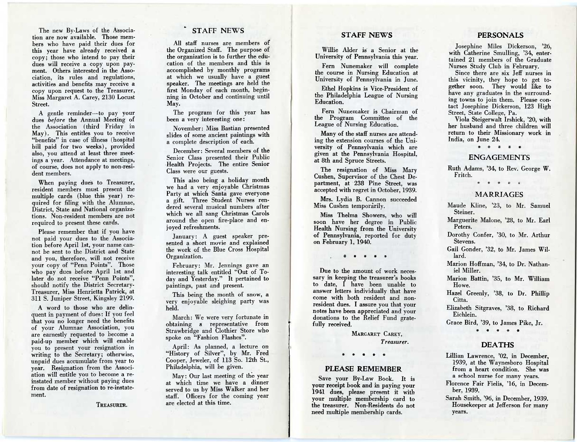The new By-Laws of the Association are now available. Those members who have paid their dues for this year have already received a copy; those who intend to pay their dues will receive a copy upon payment. Others interested in the Association, its rules and regulations, activities and benefits may receive a copy upon request to the Treasurer, Miss Margaret A. Carey, 2130 Locust Street.

A gentle reminder—to pay your dues *before* the Annual Meeting of the Association (third Friday in May). This entitles you to receive "benefits" in case of illness (hospital bill paid for two weeks), provided also, you attend at least three meetings a year. Attendance at meetings, of course, does not apply to non-resident members.

When paying dues to Treasurer, resident members must present the multiple cards (blue this year) required for filing with the Alumnae, District, State and National organizations. Non-resident members are not required to present these cards.

Please remember that if you have not paid your dues to the Association before April 1st, your name cannot be sent to the District and State and you, therefore, will not receive your copy of "Penn Points". Those who pay dues before April 1st and later do not receive "Penn Points", should notify the District Secretary-Treasurer, Miss Henrietta Patrick, at 311 S. Juniper Street, Kingsley 2199.

A word to those who are delinquent in payment of dues: If you feel that you no longer need the benefits of your Alumnae Association, you are earnestly requested to become a paid-up member which will enable you to present your resignation in writing to the Secretary; otherwise, unpaid dues accumulate from year to year. Resignation from the Association will entitle you to become a reinstated member without paying dues from date of resignation to re-instatement.

TREASURER.

# STAFF NEWS

All staff nurses are members of the Organized Staff. The purpose of the organization is to further the education of the members and this is accomplished by monthly programs at which we usually have a guest speaker. The meetings are held the first Monday of each month, beginning in October and continuing until May.

The program for this year has been a very interesting one:

November: Miss Bastian presented slides of some ancient paintings with a complete description of each.

December: Several members of the Senior Class presented their Public Health Projects. The entire Senior Class were our guests.

This also being a holiday month we had a very enjoyable Christmas Party at which Santa gave everyone a gift. Three Student Nurses rendered several musical numbers after which we all sang Christmas Carols around the open fire-place and enjoyed refreshments.

January: A guest speaker presented a short movie and explained the work of the Blue Cross Hospital Organization.

February: Mr. Jennings gave an interesting talk entitled "Out of Today and Yesterday." It pertained to paintings, past and present.

This being the month of snow, a very enjoyable sleighing party was held.

March: We were very fortunate in obtaining a representative from Strawbridge and Clothier Store who spoke on "Fashion Flashes".

April: As planned, a lecture on "History of Silver", by Mr. Fred Cooper, Jeweler, of 113 So. 12th St., Philadelphia, will be given.

May: Our last meeting of the year at which time we have a dinner served to us by Miss Walker and her staff. Officers for the coming year are elected at this time.

# **STAFF NEWS**

Willie Alder is a Senior at the University of Pennsylvania this year.

Fern Nunemaker will complete the course in Nursing Education at University of Pennsylvania in June.

Ethel Hopkins is Vice-President of the Philadelphia League of Nursing Education.

Fern Nunemaker is Chairman of the Program Committee of the League of Nursing Education.

Many of the staff nurses are attending the extension courses of the University of Pennsylvania which are given at the Pennsylvania Hospital, at 8th and Spruce Streets.

The resignation of Miss Mary Cushen, Supervisor of the Chest Department, at 238 Pine Street, was accepted with regret in October, 1939.

Mrs. Lydia B. Cannon succeeded Miss Cushen temporarily.

Miss Thelma Showers, who will soon have her degree in Public Health Nursing from the University of Pennsylvania, reported for duty on February 1, 1940.

 $\frac{1}{2}$   $\frac{1}{2}$   $\frac{1}{2}$   $\frac{1}{2}$ 

Due to the amount of work necessary in keeping the treasurer's books to date, I have been unable to answer letters individually that have come with both resident and nonresident dues. I assure you that your notes have been appreciated and your donations to the Relief Fund gratefully received.

> MARGARET CAREY, *Treasurer.*

#### **PLEASE REMEMBER**

Save your By-Law Book. It is your receipt book and in paying your 1941 dues, please present it with your multiple membership card to the treasurer. Non-Residents do not need multiple membership cards.

# **PERSONALS**

Josephine Miles Dickerson, '26, with Catherine Smulling, '34, entertained 21 members of the Graduate Nurses Study Club in February.

Since there are six Jeff nurses in this vicinity, they hope to get together soon. They would like to have any graduates in the surround. ing towns to join them. Please contact Josephine Dickerson, 123 High Street, State College, Pa.

Viola Steigerwalt Irshick, '20, with her husband and three children will return to their Missionary work in India, on June 24.

\* \* \* \* \*

#### ENGAGEMENTS

Ruth Adams, '34, to Rev. George W. Fritch.

\* \* \* \*

#### MARRIAGES

Maude Kline, '23, to Mr. Samuel Steiner.

Marguerite Malone, '28, to Mr. Earl Peters.

Dorothy Confer, '30, to Mr. Arthur Stevens.

Gail Gonder, '32, to Mr. James Willard.

Marion Hoffman, '34, to Dr. Nathan. iel Miller.

Marion Battin, '35, to Mr. William Howe.

Hazel Greenly, '38, to Dr. Phillip Citta.

Elizabeth Sitgraves, '38, to Richard Eichlein.

Grace Bird, '39, to James Pike, Jr.

\* \* \* \* \*

## **DEATHS**

Lillian Lawrence, '02, in December, 1939, at the Waynesboro Hospital from a heart condition. She was a school nurse for many years.

Florence Fair Fielis, '16, in December, 1939.

Sarah Smith, '96, in December, 1939. Housekeeper at Jefferson for many years.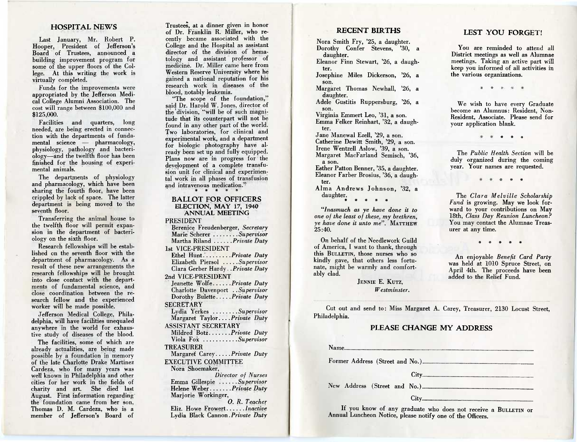#### **HOSPITAL NEWS**

Last January, Mr. Robert P. Hooper, President of Jefferson's Board of Trustees, announced a building improvement program for some of the upper floors of the College. At this writing the work is virtually completed.

Funds for the improvements were appropriated by the Jefferson Medical College Alumni Association. The cost will range between \$100,000 and \$125,000.

Facilities and quarters, long needed, are being erected in connection with the departments of fundamental science — pharmacology, physiology, pathology and bacteriology—and the twelfth floor has been finished for the housing of experimental animals.

The departments of physiology and pharmacology, which have been sharing the fourth floor, have been crippled by lack of space. The latter department is being moved to the seventh floor.

Transferring the animal house to the twelfth floor will permit expansion in the department of bacteriology on the sixth floor.

Research fellowships will be established en the seventh floor with the department of pharmacology. As a result of these new arrangements the research fellowships will be brought into close contact with the departments of fundamental science, and close coordination between the research fellow and the experienced worker will be made possible.

Jefferson Medical College, Philadelphia, will have facilities unequaled anywhere in the world for exhaustive study of diseases of the blood.

The facilities, some of which are already actualities, are being made possible by a foundation in memory of the late Charlotte Drake Martinez Cardeza, who for many years was well known in Philadelphia and other cities for her work in the fields of charity and art. She died last August. First information regarding' the foundation came from her son, Thomas D. M. Cardeza, who is a member of Jefferson's Board of Trustees, at a dinner given in honor of Dr. Franklin R. Miller, who recently became associated with the College and the Hospital as assistant director of the division of hematology and assistant professor of medicine. Dr. Miller came here from Western Reserve University where he gained a national reputation for his research work in diseases of the blood, notably leukemia.

"The scope of the foundation," said Dr. Harold W. Jones, director of the division, "will be of such magnitude that its counterpart will not be found in any other part of the world. Two laboratories, for clinical and experimental work, and a department for biologic photography have already been set up and fully equipped. Plans now are in progress for the development of a complete transfusion unit for clinical and experimental work in all phases of transfusion and intravenous medication."

#### **BALLOT FOR OFFICERS**  ELECTION, MAY 17, 1940 ANNUAL MEETING

PRESIDENT

Berenice Freudenberger, *Secretary*  Marie Scherer .......Supervisor Martha Riland *......Private Duty* 1st VICE-PRESIDENT

Ethel Hunt........Private Duty Elizabeth Piersol ....Supervisor Clara Gerber Hardy . *Private Duty*  2nd VICE-PRESIDENT

Jeanette Wolfe......Private Duty Charlotte Davenport . . *Supervisor*  Dorothy Bulette.....Private Duty **SECRETARY** 

Lydia Yerkes .......Supervisor Margaret Taylor. .. . *Private Duty*  ASSISTANT SECRETARY

Mildred Botz....... Private Duty Viola Fok *Supervisor* 

TREASURER

Margaret Carey.....Private Duty EXECUTIVE COMMITTEE

Nora Shoemaker,

*Director of Nurses*  Emma Gillespie ......Supervisor Helene Weber ......*Private Duty* Marjorie Workinger,

*0. R. Teacher*  Eliz. Howe Frowert......*Inactive* Lydia Black Cannon . *Private Duty* 

# **RECENT BIRTHS**

Nora Smith Fry, '25, a daughter. Dorothy Confer Stevens, '30, a daughter.

Eleanor Finn Stewart, '26, a daughter.

Josephine Miles Dickerson, '26, a son.

Margaret Thomas Newhall, '26, a daughter.

Adele Gustitis Ruppersburg, '26, a son.

Virginia Emmert Leo, '31, a son. Emma Felker Reinhart, '32, a daughter.

Jane Manewal Ezell, '29, a son. Catherine Dewitt Smith, '29, a son. Irene Wentzell Aslow, '39, a son. Margaret MacFarland Semisch, '36, a son.

Esther Patton Benner, '35, a daughter. Eleanor Farber Brosius, '36, a daughter.

Alma Andrews Johnson, '32, a daughter.

*"Inasmuch as ye have done it to one of the least of these, my brethren, ye have done it unto me".* MATTHEW  $25:40.$ 

On behalf of the Needlework Guild of America, I want to thank, through this BULLETIN, those nurses who so kindly gave, that others less fortunate, might be warmly and comfortably clad.

> JENNIE E. KUTZ, *Westminster.*

12. **12. 12. 12.** 12.

your application blank.

The *Public Health. Section* will be duly organized during the coming year. Your names are requested.

**9P . \* \* \*** 

The *Clara Melville Scholarship Fund* is growing. May we look forward to your contributions on May 18th, *Class Day Reunion Luncheon?*  You may contact the Alumnae Treasurer at any time.

\* \* \* \* \*

An enjoyable *Benefit Card Party*  was held at 1010 Spruce Street, on April 4th. The proceeds have been added to the Relief Fund.

Cut out and send to: Miss Margaret A. Carey, Treasurer, 2130 Locust Street, Philadelphia.

# **PLEASE CHANGE MY ADDRESS**

If you know of any graduate who does not receive a BULLETIN or Annual Luncheon Notice, please notify one of the Officers.

# **LEST YOU FORGET!**

You are reminded to attend all District meetings as well as Alumnae meetings. Taking an active part will keep you informed of all activities in the various organizations.

We wish to have every Graduate become an Alumnus: Resident, Non-Resident, Associate. Please send for

\* \*